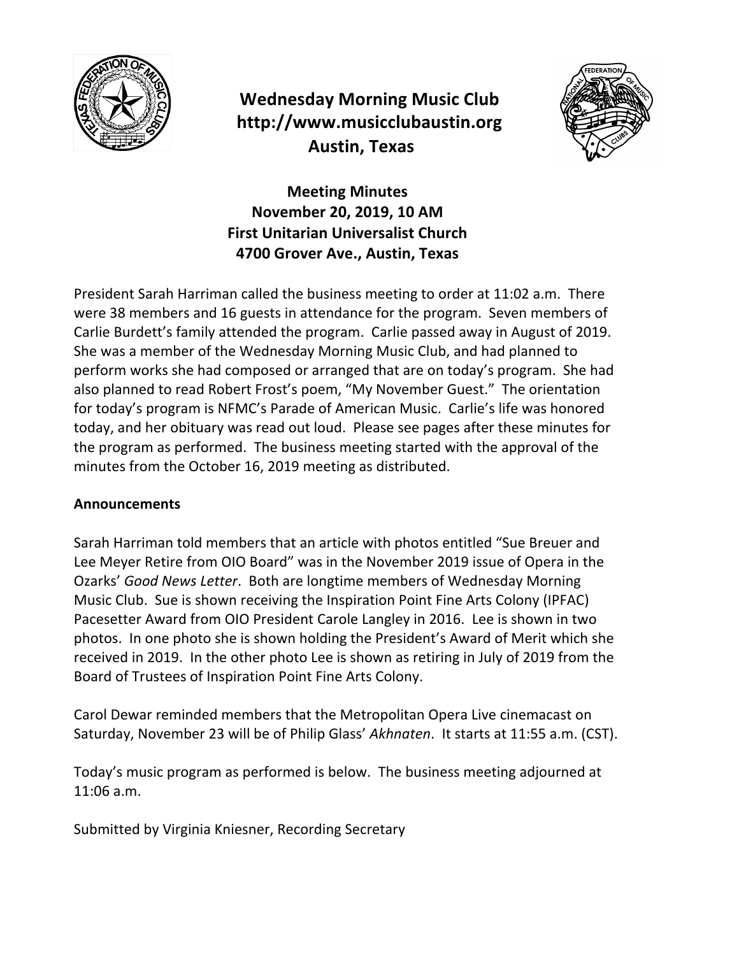

## **Wednesday Morning Music Club http://www.musicclubaustin.org Austin, Texas**



**Meeting Minutes November 20, 2019, 10 AM First Unitarian Universalist Church 4700 Grover Ave., Austin, Texas**

President Sarah Harriman called the business meeting to order at 11:02 a.m. There were 38 members and 16 guests in attendance for the program. Seven members of Carlie Burdett's family attended the program. Carlie passed away in August of 2019. She was a member of the Wednesday Morning Music Club, and had planned to perform works she had composed or arranged that are on today's program. She had also planned to read Robert Frost's poem, "My November Guest." The orientation for today's program is NFMC's Parade of American Music. Carlie's life was honored today, and her obituary was read out loud. Please see pages after these minutes for the program as performed. The business meeting started with the approval of the minutes from the October 16, 2019 meeting as distributed.

## **Announcements**

Sarah Harriman told members that an article with photos entitled "Sue Breuer and Lee Meyer Retire from OIO Board" was in the November 2019 issue of Opera in the Ozarks' *Good News Letter*. Both are longtime members of Wednesday Morning Music Club. Sue is shown receiving the Inspiration Point Fine Arts Colony (IPFAC) Pacesetter Award from OIO President Carole Langley in 2016. Lee is shown in two photos. In one photo she is shown holding the President's Award of Merit which she received in 2019. In the other photo Lee is shown as retiring in July of 2019 from the Board of Trustees of Inspiration Point Fine Arts Colony.

Carol Dewar reminded members that the Metropolitan Opera Live cinemacast on Saturday, November 23 will be of Philip Glass' Akhnaten. It starts at 11:55 a.m. (CST).

Today's music program as performed is below. The business meeting adjourned at 11:06 a.m.

Submitted by Virginia Kniesner, Recording Secretary